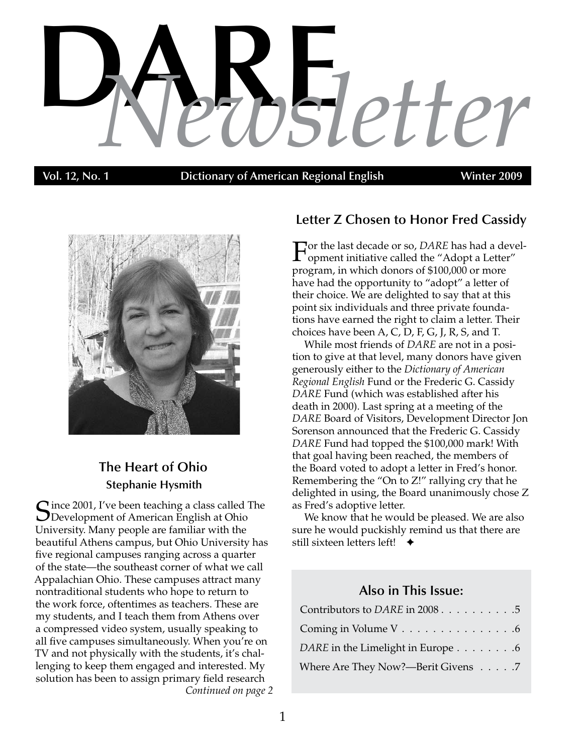# **DAR** *Newsletter* **E**

**vol. 12, No. 1 Dictionary of American Regional English Winter 2009** 



# **The Heart of Ohio Stephanie Hysmith**

*Continued on page 2* Cince 2001, I've been teaching a class called The **D** Development of American English at Ohio University. Many people are familiar with the beautiful Athens campus, but Ohio University has five regional campuses ranging across a quarter of the state—the southeast corner of what we call Appalachian Ohio. These campuses attract many nontraditional students who hope to return to the work force, oftentimes as teachers. These are my students, and I teach them from Athens over a compressed video system, usually speaking to all five campuses simultaneously. When you're on TV and not physically with the students, it's challenging to keep them engaged and interested. My solution has been to assign primary field research

# **Letter Z Chosen to Honor Fred Cassidy**

For the last decade or so, *DARE* has had a devel-<br>opment initiative called the "Adopt a Letter" program, in which donors of \$100,000 or more have had the opportunity to "adopt" a letter of their choice. We are delighted to say that at this point six individuals and three private foundations have earned the right to claim a letter. Their choices have been A, C, D, F, G, J, R, S, and T.

While most friends of *DARE* are not in a position to give at that level, many donors have given generously either to the *Dictionary of American Regional English* Fund or the Frederic G. Cassidy *DARE* Fund (which was established after his death in 2000). Last spring at a meeting of the *DARE* Board of Visitors, Development Director Jon Sorenson announced that the Frederic G. Cassidy *DARE* Fund had topped the \$100,000 mark! With that goal having been reached, the members of the Board voted to adopt a letter in Fred's honor. Remembering the "On to Z!" rallying cry that he delighted in using, the Board unanimously chose Z as Fred's adoptive letter.

We know that he would be pleased. We are also sure he would puckishly remind us that there are still sixteen letters left!  $\rightarrow$ 

# **Also in This Issue:**

| Contributors to <i>DARE</i> in 2008 5 |  |
|---------------------------------------|--|
| Coming in Volume V 6                  |  |
| DARE in the Limelight in Europe 6     |  |
| Where Are They Now?—Berit Givens 7    |  |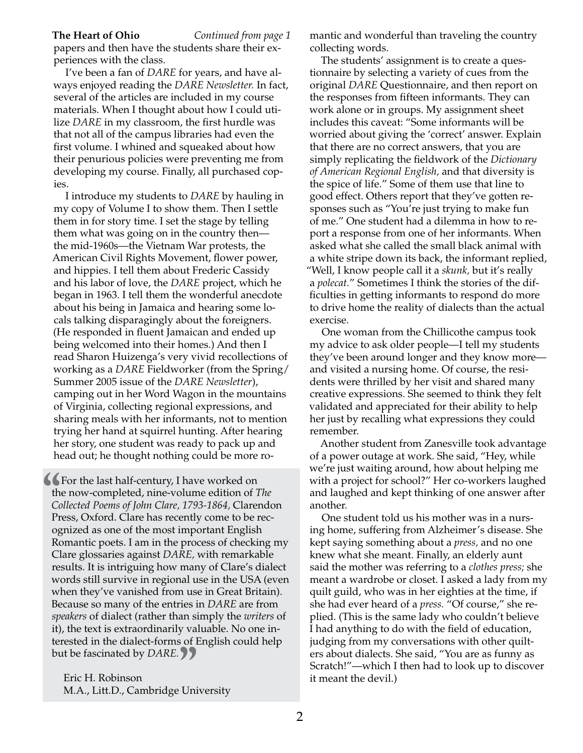**The Heart of Ohio** *Continued from page 1*

papers and then have the students share their experiences with the class.

I've been a fan of *DARE* for years, and have always enjoyed reading the *DARE Newsletter.* In fact, several of the articles are included in my course materials. When I thought about how I could utilize *DARE* in my classroom, the first hurdle was that not all of the campus libraries had even the first volume. I whined and squeaked about how their penurious policies were preventing me from developing my course. Finally, all purchased copies.

I introduce my students to *DARE* by hauling in my copy of Volume I to show them. Then I settle them in for story time. I set the stage by telling them what was going on in the country then the mid-1960s—the Vietnam War protests, the American Civil Rights Movement, flower power, and hippies. I tell them about Frederic Cassidy and his labor of love, the *DARE* project, which he began in 1963. I tell them the wonderful anecdote about his being in Jamaica and hearing some locals talking disparagingly about the foreigners. (He responded in fluent Jamaican and ended up being welcomed into their homes.) And then I read Sharon Huizenga's very vivid recollections of working as a *DARE* Fieldworker (from the Spring/ Summer 2005 issue of the *DARE Newsletter*), camping out in her Word Wagon in the mountains of Virginia, collecting regional expressions, and sharing meals with her informants, not to mention trying her hand at squirrel hunting. After hearing her story, one student was ready to pack up and head out; he thought nothing could be more ro-

**The last half-century, I have worked on the now-completed, nine-volume edition of** *T* **Collected Poems of John Clare, 1793-1864, Clare Press, Oxford. Clare has recently come to be** *n* the now-completed, nine-volume edition of *The Collected Poems of John Clare, 1793-1864,* Clarendon Press, Oxford. Clare has recently come to be recognized as one of the most important English Romantic poets. I am in the process of checking my Clare glossaries against *DARE,* with remarkable results. It is intriguing how many of Clare's dialect words still survive in regional use in the USA (even when they've vanished from use in Great Britain). Because so many of the entries in *DARE* are from *speakers* of dialect (rather than simply the *writers* of it), the text is extraordinarily valuable. No one interested in the dialect-forms of English could help but be fascinated by *DARE.*

Eric H. Robinson **"** M.A., Litt.D., Cambridge University mantic and wonderful than traveling the country collecting words.

The students' assignment is to create a questionnaire by selecting a variety of cues from the original *DARE* Questionnaire, and then report on the responses from fifteen informants. They can work alone or in groups. My assignment sheet includes this caveat: "Some informants will be worried about giving the 'correct' answer. Explain that there are no correct answers, that you are simply replicating the fieldwork of the *Dictionary of American Regional English,* and that diversity is the spice of life." Some of them use that line to good effect. Others report that they've gotten responses such as "You're just trying to make fun of me." One student had a dilemma in how to report a response from one of her informants. When asked what she called the small black animal with a white stripe down its back, the informant replied, "Well, I know people call it a *skunk,* but it's really a *polecat.*" Sometimes I think the stories of the difficulties in getting informants to respond do more to drive home the reality of dialects than the actual exercise.

One woman from the Chillicothe campus took my advice to ask older people—I tell my students they've been around longer and they know more and visited a nursing home. Of course, the residents were thrilled by her visit and shared many creative expressions. She seemed to think they felt validated and appreciated for their ability to help her just by recalling what expressions they could remember.

Another student from Zanesville took advantage of a power outage at work. She said, "Hey, while we're just waiting around, how about helping me with a project for school?" Her co-workers laughed and laughed and kept thinking of one answer after another.

One student told us his mother was in a nursing home, suffering from Alzheimer's disease. She kept saying something about a *press,* and no one knew what she meant. Finally, an elderly aunt said the mother was referring to a *clothes press;* she meant a wardrobe or closet. I asked a lady from my quilt guild, who was in her eighties at the time, if she had ever heard of a *press.* "Of course," she replied. (This is the same lady who couldn't believe I had anything to do with the field of education, judging from my conversations with other quilters about dialects. She said, "You are as funny as Scratch!"—which I then had to look up to discover it meant the devil.)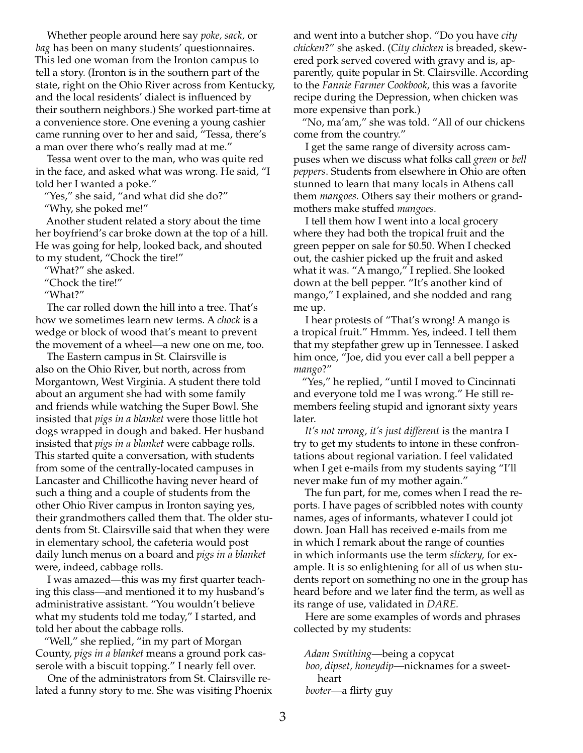Whether people around here say *poke, sack,* or *bag* has been on many students' questionnaires. This led one woman from the Ironton campus to tell a story. (Ironton is in the southern part of the state, right on the Ohio River across from Kentucky, and the local residents' dialect is influenced by their southern neighbors.) She worked part-time at a convenience store. One evening a young cashier came running over to her and said, "Tessa, there's a man over there who's really mad at me."

Tessa went over to the man, who was quite red in the face, and asked what was wrong. He said, "I told her I wanted a poke."

"Yes," she said, "and what did she do?" "Why, she poked me!"

Another student related a story about the time her boyfriend's car broke down at the top of a hill. He was going for help, looked back, and shouted to my student, "Chock the tire!"

"What?" she asked.

"Chock the tire!"

"What?"

The car rolled down the hill into a tree. That's how we sometimes learn new terms. A *chock* is a wedge or block of wood that's meant to prevent the movement of a wheel—a new one on me, too.

The Eastern campus in St. Clairsville is also on the Ohio River, but north, across from Morgantown, West Virginia. A student there told about an argument she had with some family and friends while watching the Super Bowl. She insisted that *pigs in a blanket* were those little hot dogs wrapped in dough and baked. Her husband insisted that *pigs in a blanket* were cabbage rolls. This started quite a conversation, with students from some of the centrally-located campuses in Lancaster and Chillicothe having never heard of such a thing and a couple of students from the other Ohio River campus in Ironton saying yes, their grandmothers called them that. The older students from St. Clairsville said that when they were in elementary school, the cafeteria would post daily lunch menus on a board and *pigs in a blanket* were, indeed, cabbage rolls.

I was amazed—this was my first quarter teaching this class—and mentioned it to my husband's administrative assistant. "You wouldn't believe what my students told me today," I started, and told her about the cabbage rolls.

"Well," she replied, "in my part of Morgan County, *pigs in a blanket* means a ground pork casserole with a biscuit topping." I nearly fell over.

One of the administrators from St. Clairsville related a funny story to me. She was visiting Phoenix and went into a butcher shop. "Do you have *city chicken*?" she asked. (*City chicken* is breaded, skewered pork served covered with gravy and is, apparently, quite popular in St. Clairsville. According to the *Fannie Farmer Cookbook,* this was a favorite recipe during the Depression, when chicken was more expensive than pork.)

"No, ma'am," she was told. "All of our chickens come from the country."

I get the same range of diversity across campuses when we discuss what folks call *green* or *bell peppers*. Students from elsewhere in Ohio are often stunned to learn that many locals in Athens call them *mangoes.* Others say their mothers or grandmothers make stuffed *mangoes.*

I tell them how I went into a local grocery where they had both the tropical fruit and the green pepper on sale for \$0.50. When I checked out, the cashier picked up the fruit and asked what it was. "A mango," I replied. She looked down at the bell pepper. "It's another kind of mango," I explained, and she nodded and rang me up.

I hear protests of "That's wrong! A mango is a tropical fruit." Hmmm. Yes, indeed. I tell them that my stepfather grew up in Tennessee. I asked him once, "Joe, did you ever call a bell pepper a *mango*?"

"Yes," he replied, "until I moved to Cincinnati and everyone told me I was wrong." He still remembers feeling stupid and ignorant sixty years later.

*It's not wrong, it's just different* is the mantra I try to get my students to intone in these confrontations about regional variation. I feel validated when I get e-mails from my students saying "I'll never make fun of my mother again."

The fun part, for me, comes when I read the reports. I have pages of scribbled notes with county names, ages of informants, whatever I could jot down. Joan Hall has received e-mails from me in which I remark about the range of counties in which informants use the term *slickery,* for example. It is so enlightening for all of us when students report on something no one in the group has heard before and we later find the term, as well as its range of use, validated in *DARE.* 

Here are some examples of words and phrases collected by my students:

*Adam Smithing—*being a copycat *boo, dipset, honeydip—*nicknames for a sweetheart *booter—*a flirty guy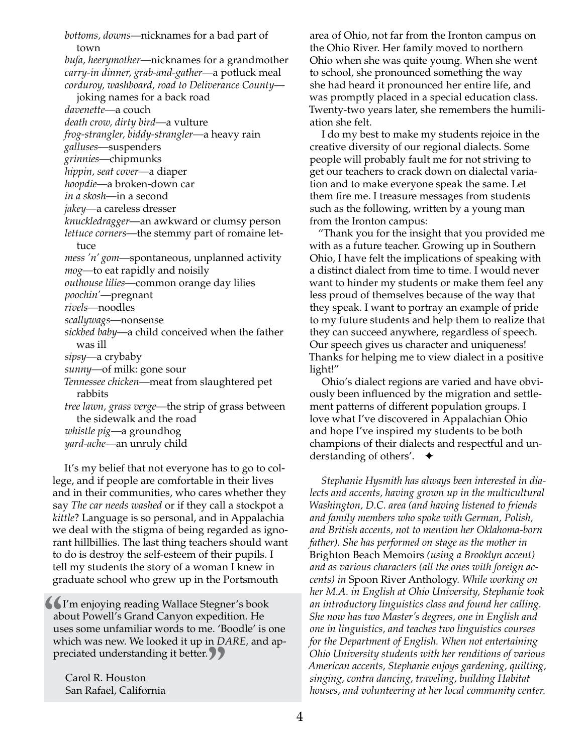*bottoms, downs*—nicknames for a bad part of town *bufa, heerymother—*nicknames for a grandmother *carry-in dinner, grab-and-gather—*a potluck meal *corduroy, washboard, road to Deliverance County* joking names for a back road *davenette—*a couch *death crow, dirty bird—*a vulture *frog-strangler, biddy-strangler—*a heavy rain *galluses—*suspenders *grinnies—*chipmunks *hippin, seat cover—*a diaper *hoopdie—*a broken-down car *in a skosh*—in a second *jakey—*a careless dresser *knuckledragger*—an awkward or clumsy person *lettuce corners—*the stemmy part of romaine lettuce *mess 'n' gom—*spontaneous, unplanned activity *mog—*to eat rapidly and noisily *outhouse lilies—*common orange day lilies *poochin'—*pregnant *rivels—*noodles *scallywags—*nonsense *sickbed baby*—a child conceived when the father was ill *sipsy—*a crybaby *sunny—*of milk: gone sour *Tennessee chicken—*meat from slaughtered pet rabbits *tree lawn, grass verge—*the strip of grass between the sidewalk and the road *whistle pig—*a groundhog *yard-ache—*an unruly child

It's my belief that not everyone has to go to college, and if people are comfortable in their lives and in their communities, who cares whether they say *The car needs washed* or if they call a stockpot a *kittle*? Language is so personal, and in Appalachia we deal with the stigma of being regarded as ignorant hillbillies. The last thing teachers should want to do is destroy the self-esteem of their pupils. I tell my students the story of a woman I knew in graduate school who grew up in the Portsmouth

**a**<br>**us**<br>**w** I'm enjoying reading Wallace Stegner's book about Powell's Grand Canyon expedition. He uses some unfamiliar words to me. 'Boodle' is one which was new. We looked it up in *DARE,* and ap-

preciated understanding it better. **"**<br>Carol R. Houston<br>San Rafael, California Carol R. Houston San Rafael, California

area of Ohio, not far from the Ironton campus on the Ohio River. Her family moved to northern Ohio when she was quite young. When she went to school, she pronounced something the way she had heard it pronounced her entire life, and was promptly placed in a special education class. Twenty-two years later, she remembers the humiliation she felt.

I do my best to make my students rejoice in the creative diversity of our regional dialects. Some people will probably fault me for not striving to get our teachers to crack down on dialectal variation and to make everyone speak the same. Let them fire me. I treasure messages from students such as the following, written by a young man from the Ironton campus:

"Thank you for the insight that you provided me with as a future teacher. Growing up in Southern Ohio, I have felt the implications of speaking with a distinct dialect from time to time. I would never want to hinder my students or make them feel any less proud of themselves because of the way that they speak. I want to portray an example of pride to my future students and help them to realize that they can succeed anywhere, regardless of speech. Our speech gives us character and uniqueness! Thanks for helping me to view dialect in a positive light!"

Ohio's dialect regions are varied and have obviously been influenced by the migration and settlement patterns of different population groups. I love what I've discovered in Appalachian Ohio and hope I've inspired my students to be both champions of their dialects and respectful and understanding of others'.  $\rightarrow$ 

*Stephanie Hysmith has always been interested in dialects and accents, having grown up in the multicultural Washington, D.C. area (and having listened to friends and family members who spoke with German, Polish, and British accents, not to mention her Oklahoma-born father). She has performed on stage as the mother in*  Brighton Beach Memoirs *(using a Brooklyn accent) and as various characters (all the ones with foreign accents) in* Spoon River Anthology. *While working on her M.A. in English at Ohio University, Stephanie took an introductory linguistics class and found her calling. She now has two Master's degrees, one in English and one in linguistics, and teaches two linguistics courses for the Department of English. When not entertaining Ohio University students with her renditions of various American accents, Stephanie enjoys gardening, quilting, singing, contra dancing, traveling, building Habitat houses, and volunteering at her local community center.*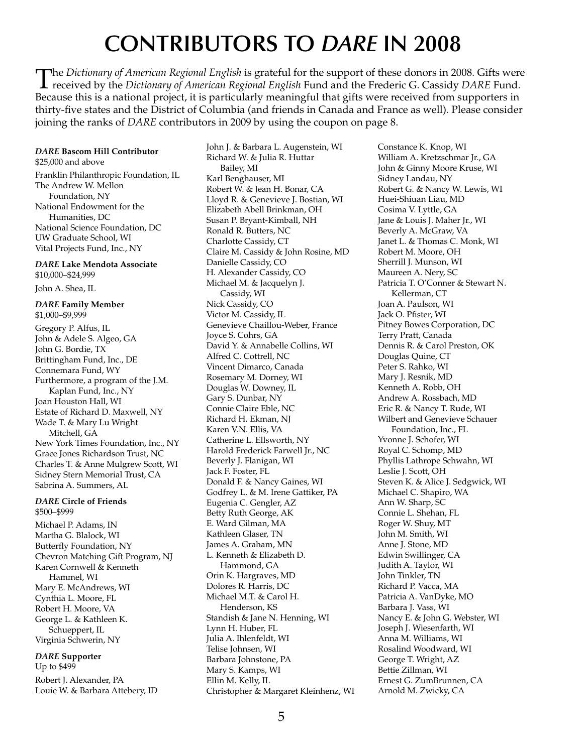# **CONTRIBUTORS TO** *DARE* **IN 2008**

The Dictionary of American Regional English is grateful for the support of these donors in 2008. Gifts were<br>received by the Dictionary of American Regional English Fund and the Frederic G. Cassidy DARE Fund. Because this is a national project, it is particularly meaningful that gifts were received from supporters in thirty-five states and the District of Columbia (and friends in Canada and France as well). Please consider joining the ranks of *DARE* contributors in 2009 by using the coupon on page 8.

#### *DARE* **Bascom Hill Contributor**

\$25,000 and above Franklin Philanthropic Foundation, IL The Andrew W. Mellon Foundation, NY National Endowment for the Humanities, DC National Science Foundation, DC UW Graduate School, WI Vital Projects Fund, Inc., NY

#### *DARE* **Lake Mendota Associate** \$10,000–\$24,999

John A. Shea, IL

#### *DARE* **Family Member** \$1,000–\$9,999

Gregory P. Alfus, IL John & Adele S. Algeo, GA John G. Bordie, TX Brittingham Fund, Inc., DE Connemara Fund, WY Furthermore, a program of the J.M. Kaplan Fund, Inc., NY Joan Houston Hall, WI Estate of Richard D. Maxwell, NY Wade T. & Mary Lu Wright Mitchell, GA New York Times Foundation, Inc., NY Grace Jones Richardson Trust, NC Charles T. & Anne Mulgrew Scott, WI Sidney Stern Memorial Trust, CA Sabrina A. Summers, AL

#### *DARE* **Circle of Friends** \$500–\$999

Michael P. Adams, IN Martha G. Blalock, WI Butterfly Foundation, NY Chevron Matching Gift Program, NJ Karen Cornwell & Kenneth Hammel, WI Mary E. McAndrews, WI Cynthia L. Moore, FL Robert H. Moore, VA George L. & Kathleen K. Schueppert, IL Virginia Schwerin, NY

# *DARE* **Supporter**

Up to \$499

Robert J. Alexander, PA Louie W. & Barbara Attebery, ID John J. & Barbara L. Augenstein, WI Richard W. & Julia R. Huttar Bailey, MI Karl Benghauser, MI Robert W. & Jean H. Bonar, CA Lloyd R. & Genevieve J. Bostian, WI Elizabeth Abell Brinkman, OH Susan P. Bryant-Kimball, NH Ronald R. Butters, NC Charlotte Cassidy, CT Claire M. Cassidy & John Rosine, MD Danielle Cassidy, CO H. Alexander Cassidy, CO Michael M. & Jacquelyn J. Cassidy, WI Nick Cassidy, CO Victor M. Cassidy, IL Genevieve Chaillou-Weber, France Joyce S. Cohrs, GA David Y. & Annabelle Collins, WI Alfred C. Cottrell, NC Vincent Dimarco, Canada Rosemary M. Dorney, WI Douglas W. Downey, IL Gary S. Dunbar, NY Connie Claire Eble, NC Richard H. Ekman, NJ Karen V.N. Ellis, VA Catherine L. Ellsworth, NY Harold Frederick Farwell Jr., NC Beverly J. Flanigan, WI Jack F. Foster, FL Donald F. & Nancy Gaines, WI Godfrey L. & M. Irene Gattiker, PA Eugenia C. Gengler, AZ Betty Ruth George, AK E. Ward Gilman, MA Kathleen Glaser, TN James A. Graham, MN L. Kenneth & Elizabeth D. Hammond, GA Orin K. Hargraves, MD Dolores R. Harris, DC Michael M.T. & Carol H. Henderson, KS Standish & Jane N. Henning, WI Lynn H. Huber, FL Julia A. Ihlenfeldt, WI Telise Johnsen, WI Barbara Johnstone, PA Mary S. Kamps, WI Ellin M. Kelly, IL Christopher & Margaret Kleinhenz, WI

Constance K. Knop, WI William A. Kretzschmar Jr., GA John & Ginny Moore Kruse, WI Sidney Landau, NY Robert G. & Nancy W. Lewis, WI Huei-Shiuan Liau, MD Cosima V. Lyttle, GA Jane & Louis J. Maher Jr., WI Beverly A. McGraw, VA Janet L. & Thomas C. Monk, WI Robert M. Moore, OH Sherrill J. Munson, WI Maureen A. Nery, SC Patricia T. O'Conner & Stewart N. Kellerman, CT Joan A. Paulson, WI Jack O. Pfister, WI Pitney Bowes Corporation, DC Terry Pratt, Canada Dennis R. & Carol Preston, OK Douglas Quine, CT Peter S. Rahko, WI Mary J. Resnik, MD Kenneth A. Robb, OH Andrew A. Rossbach, MD Eric R. & Nancy T. Rude, WI Wilbert and Genevieve Schauer Foundation, Inc., FL Yvonne J. Schofer, WI Royal C. Schomp, MD Phyllis Lathrope Schwahn, WI Leslie J. Scott, OH Steven K. & Alice J. Sedgwick, WI Michael C. Shapiro, WA Ann W. Sharp, SC Connie L. Shehan, FL Roger W. Shuy, MT John M. Smith, WI Anne J. Stone, MD Edwin Swillinger, CA Judith A. Taylor, WI John Tinkler, TN Richard P. Vacca, MA Patricia A. VanDyke, MO Barbara J. Vass, WI Nancy E. & John G. Webster, WI Joseph J. Wiesenfarth, WI Anna M. Williams, WI Rosalind Woodward, WI George T. Wright, AZ Bettie Zillman, WI Ernest G. ZumBrunnen, CA Arnold M. Zwicky, CA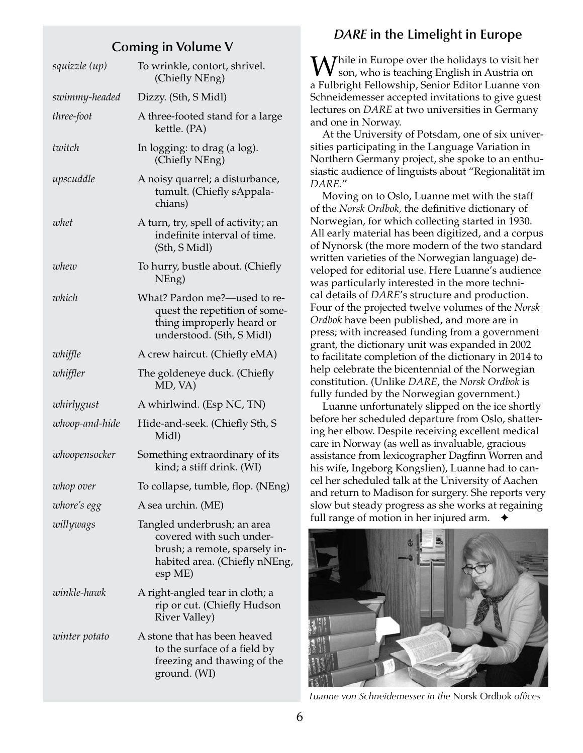# **Coming in Volume V**

| squizzle (up)  | To wrinkle, contort, shrivel.<br>(Chiefly NEng)                                                                                      |
|----------------|--------------------------------------------------------------------------------------------------------------------------------------|
| swimmy-headed  | Dizzy. (Sth, S Midl)                                                                                                                 |
| three-foot     | A three-footed stand for a large<br>kettle. (PA)                                                                                     |
| twitch         | In logging: to drag (a log).<br>(Chiefly NEng)                                                                                       |
| upscuddle      | A noisy quarrel; a disturbance,<br>tumult. (Chiefly sAppala-<br>chians)                                                              |
| whet           | A turn, try, spell of activity; an<br>indefinite interval of time.<br>(Sth, S Midl)                                                  |
| whew           | To hurry, bustle about. (Chiefly<br>NEng)                                                                                            |
| which          | What? Pardon me?-used to re-<br>quest the repetition of some-<br>thing improperly heard or<br>understood. (Sth, S Midl)              |
| whiffle        | A crew haircut. (Chiefly eMA)                                                                                                        |
| whiffler       | The goldeneye duck. (Chiefly<br>MD, VA)                                                                                              |
| whirlygust     | A whirlwind. (Esp NC, TN)                                                                                                            |
| whoop-and-hide | Hide-and-seek. (Chiefly Sth, S<br>Midl)                                                                                              |
| whoopensocker  | Something extraordinary of its<br>kind; a stiff drink. (WI)                                                                          |
| whop over      | To collapse, tumble, flop. (NEng)                                                                                                    |
| whore's egg    | A sea urchin. (ME)                                                                                                                   |
| willywags      | Tangled underbrush; an area<br>covered with such under-<br>brush; a remote, sparsely in-<br>habited area. (Chiefly nNEng,<br>esp ME) |
| winkle-hawk    | A right-angled tear in cloth; a<br>rip or cut. (Chiefly Hudson<br><b>River Valley)</b>                                               |
| winter potato  | A stone that has been heaved<br>to the surface of a field by<br>freezing and thawing of the<br>ground. (WI)                          |

# *DARE* **in the Limelight in Europe**

While in Europe over the holidays to visit her<br>son, who is teaching English in Austria on a Fulbright Fellowship, Senior Editor Luanne von Schneidemesser accepted invitations to give guest lectures on *DARE* at two universities in Germany and one in Norway.

At the University of Potsdam, one of six universities participating in the Language Variation in Northern Germany project, she spoke to an enthusiastic audience of linguists about "Regionalität im *DARE*."

Moving on to Oslo, Luanne met with the staff of the *Norsk Ordbok,* the definitive dictionary of Norwegian, for which collecting started in 1930. All early material has been digitized, and a corpus of Nynorsk (the more modern of the two standard written varieties of the Norwegian language) developed for editorial use. Here Luanne's audience was particularly interested in the more technical details of *DARE*'s structure and production. Four of the projected twelve volumes of the *Norsk Ordbok* have been published, and more are in press; with increased funding from a government grant, the dictionary unit was expanded in 2002 to facilitate completion of the dictionary in 2014 to help celebrate the bicentennial of the Norwegian constitution. (Unlike *DARE*, the *Norsk Ordbok* is fully funded by the Norwegian government.)

Luanne unfortunately slipped on the ice shortly before her scheduled departure from Oslo, shattering her elbow. Despite receiving excellent medical care in Norway (as well as invaluable, gracious assistance from lexicographer Dagfinn Worren and his wife, Ingeborg Kongslien), Luanne had to cancel her scheduled talk at the University of Aachen and return to Madison for surgery. She reports very slow but steady progress as she works at regaining full range of motion in her injured arm.  $\rightarrow$ 



*Luanne von Schneidemesser in the* Norsk Ordbok *offices*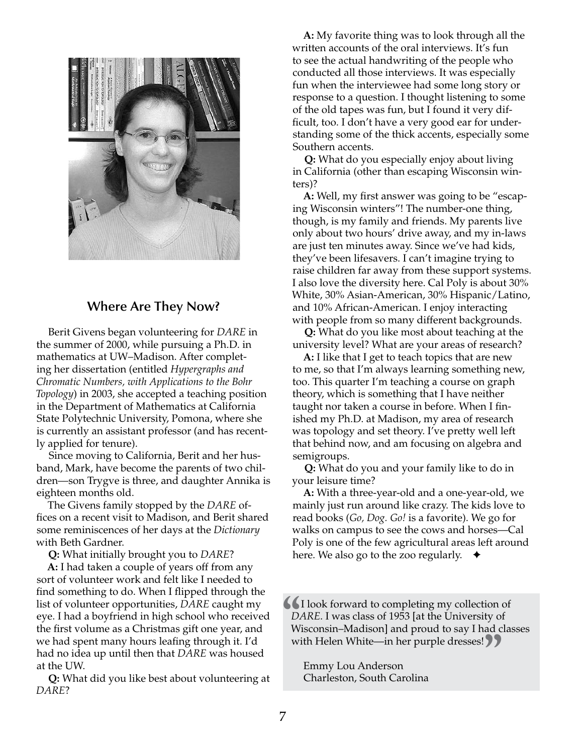

# **Where Are They Now?**

Berit Givens began volunteering for *DARE* in the summer of 2000, while pursuing a Ph.D. in mathematics at UW–Madison. After completing her dissertation (entitled *Hypergraphs and Chromatic Numbers, with Applications to the Bohr Topology*) in 2003, she accepted a teaching position in the Department of Mathematics at California State Polytechnic University, Pomona, where she is currently an assistant professor (and has recently applied for tenure).

Since moving to California, Berit and her husband, Mark, have become the parents of two children—son Trygve is three, and daughter Annika is eighteen months old.

The Givens family stopped by the *DARE* offices on a recent visit to Madison, and Berit shared some reminiscences of her days at the *Dictionary*  with Beth Gardner.

**Q:** What initially brought you to *DARE*?

**A:** I had taken a couple of years off from any sort of volunteer work and felt like I needed to find something to do. When I flipped through the list of volunteer opportunities, *DARE* caught my eye. I had a boyfriend in high school who received the first volume as a Christmas gift one year, and we had spent many hours leafing through it. I'd had no idea up until then that *DARE* was housed at the UW.

**Q:** What did you like best about volunteering at *DARE*?

**A:** My favorite thing was to look through all the written accounts of the oral interviews. It's fun to see the actual handwriting of the people who conducted all those interviews. It was especially fun when the interviewee had some long story or response to a question. I thought listening to some of the old tapes was fun, but I found it very difficult, too. I don't have a very good ear for understanding some of the thick accents, especially some Southern accents.

**Q:** What do you especially enjoy about living in California (other than escaping Wisconsin winters)?

**A:** Well, my first answer was going to be "escaping Wisconsin winters"! The number-one thing, though, is my family and friends. My parents live only about two hours' drive away, and my in-laws are just ten minutes away. Since we've had kids, they've been lifesavers. I can't imagine trying to raise children far away from these support systems. I also love the diversity here. Cal Poly is about 30% White, 30% Asian-American, 30% Hispanic/Latino, and 10% African-American. I enjoy interacting with people from so many different backgrounds.

**Q:** What do you like most about teaching at the university level? What are your areas of research?

**A:** I like that I get to teach topics that are new to me, so that I'm always learning something new, too. This quarter I'm teaching a course on graph theory, which is something that I have neither taught nor taken a course in before. When I finished my Ph.D. at Madison, my area of research was topology and set theory. I've pretty well left that behind now, and am focusing on algebra and semigroups.

**Q:** What do you and your family like to do in your leisure time?

**A:** With a three-year-old and a one-year-old, we mainly just run around like crazy. The kids love to read books (*Go, Dog. Go!* is a favorite). We go for walks on campus to see the cows and horses—Cal Poly is one of the few agricultural areas left around here. We also go to the zoo regularly.  $\rightarrow$ 

I look forward to completing my collection of *DARE*. I was class of 1953 [at the University of Wisconsin–Madison] and proud to say I had clas with Helen White—in her purple dresses! *DARE*. I was class of 1953 [at the University of Wisconsin–Madison] and proud to say I had classes

with Helen White—in her purple dresses! **"> ">**<br>Emmy Lou Anderson<br>Charleston, South Carolina Emmy Lou Anderson Charleston, South Carolina